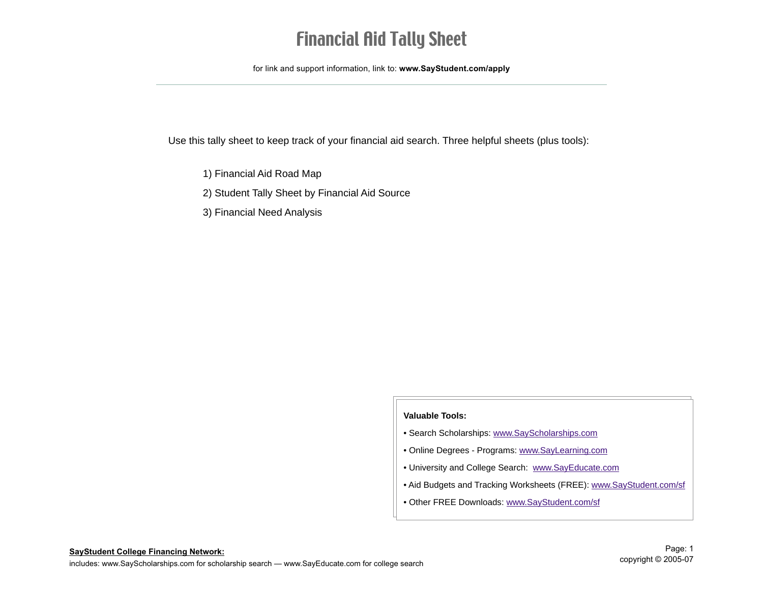## Financial Aid Tally Sheet

for link and support information, link to: **www.SayStudent.com/apply**

Use this tally sheet to keep track of your financial aid search. Three helpful sheets (plus tools):

- 1) Financial Aid Road Map
- 2) Student Tally Sheet by Financial Aid Source
- 3) Financial Need Analysis

#### **Valuable Tools:**

- Search Scholarships: www.SayScholarships.com
- Online Degrees Programs: www.SayLearning.com
- University and College Search: www.SayEducate.com
- Aid Budgets and Tracking Worksheets (FREE): www.SayStudent.com/sf
- Other FREE Downloads: www.SayStudent.com/sf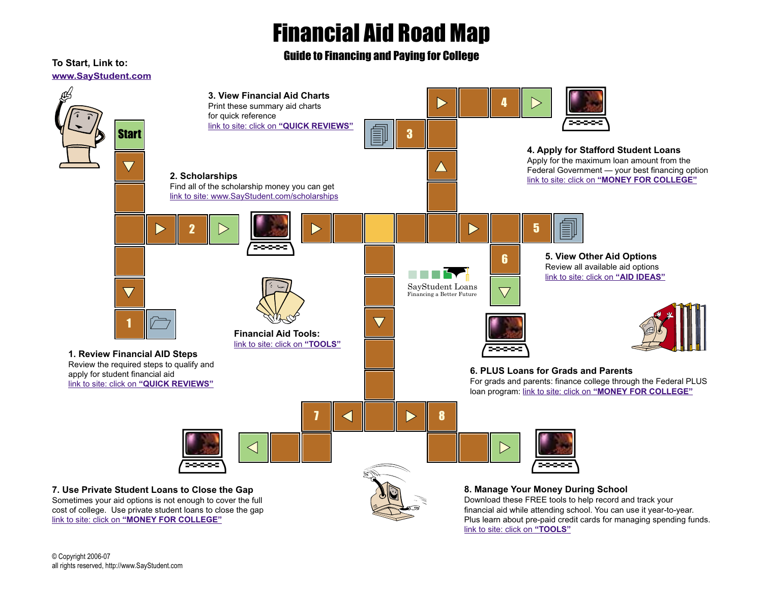# Financial Aid Road Map

Guide to Financing and Paying for College



© Copyright 2006-07 all rights reserved, http://www.SayStudent.com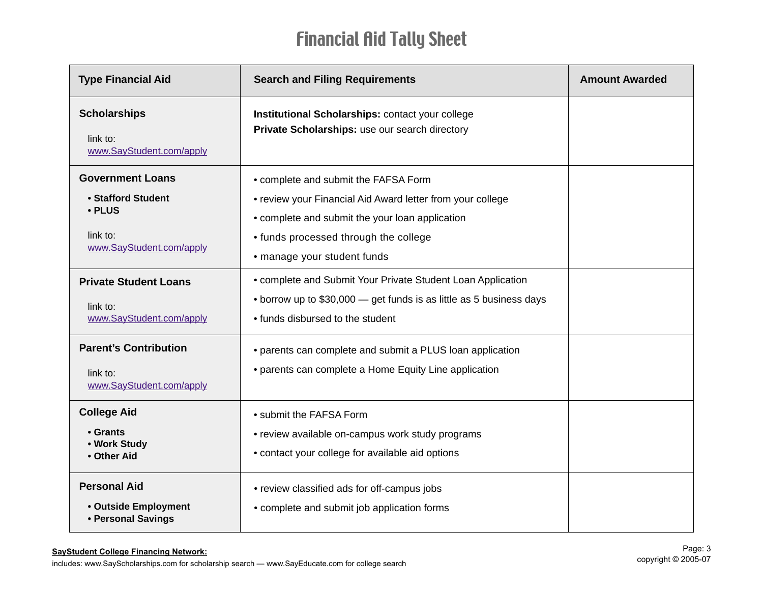# Financial Aid Tally Sheet

| <b>Type Financial Aid</b>                                                                       | <b>Search and Filing Requirements</b>                                                                                                                                                                                         | <b>Amount Awarded</b> |
|-------------------------------------------------------------------------------------------------|-------------------------------------------------------------------------------------------------------------------------------------------------------------------------------------------------------------------------------|-----------------------|
| <b>Scholarships</b><br>link to:<br>www.SayStudent.com/apply                                     | Institutional Scholarships: contact your college<br>Private Scholarships: use our search directory                                                                                                                            |                       |
| <b>Government Loans</b><br>• Stafford Student<br>• PLUS<br>link to:<br>www.SayStudent.com/apply | • complete and submit the FAFSA Form<br>• review your Financial Aid Award letter from your college<br>• complete and submit the your loan application<br>• funds processed through the college<br>• manage your student funds |                       |
| <b>Private Student Loans</b><br>link to:<br>www.SayStudent.com/apply                            | • complete and Submit Your Private Student Loan Application<br>• borrow up to \$30,000 – get funds is as little as 5 business days<br>• funds disbursed to the student                                                        |                       |
| <b>Parent's Contribution</b><br>link to:<br>www.SayStudent.com/apply                            | • parents can complete and submit a PLUS loan application<br>• parents can complete a Home Equity Line application                                                                                                            |                       |
| <b>College Aid</b><br>• Grants<br>• Work Study<br>• Other Aid                                   | • submit the FAFSA Form<br>• review available on-campus work study programs<br>• contact your college for available aid options                                                                                               |                       |
| <b>Personal Aid</b><br>• Outside Employment<br>• Personal Savings                               | • review classified ads for off-campus jobs<br>• complete and submit job application forms                                                                                                                                    |                       |